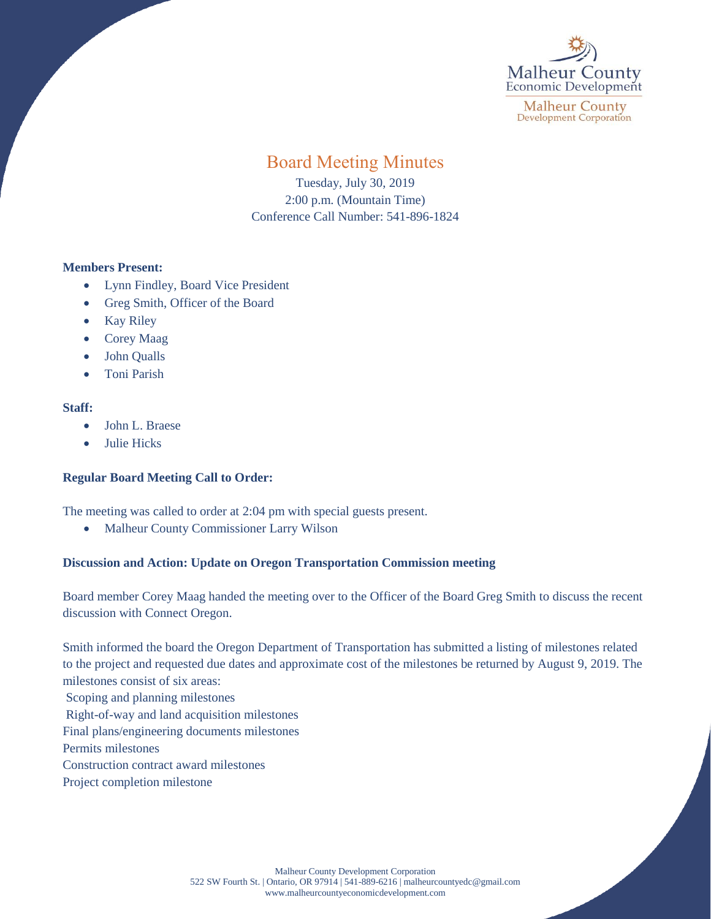

**Malheur County Development Corporation** 

# Board Meeting Minutes

Tuesday, July 30, 2019 2:00 p.m. (Mountain Time) Conference Call Number: 541-896-1824

# **Members Present:**

- Lynn Findley, Board Vice President
- Greg Smith, Officer of the Board
- Kay Riley
- Corey Maag
- John Qualls
- Toni Parish

## **Staff:**

- John L. Braese
- Julie Hicks

# **Regular Board Meeting Call to Order:**

The meeting was called to order at 2:04 pm with special guests present.

• Malheur County Commissioner Larry Wilson

# **Discussion and Action: Update on Oregon Transportation Commission meeting**

Board member Corey Maag handed the meeting over to the Officer of the Board Greg Smith to discuss the recent discussion with Connect Oregon.

Smith informed the board the Oregon Department of Transportation has submitted a listing of milestones related to the project and requested due dates and approximate cost of the milestones be returned by August 9, 2019. The milestones consist of six areas: Scoping and planning milestones Right-of-way and land acquisition milestones Final plans/engineering documents milestones Permits milestones Construction contract award milestones Project completion milestone